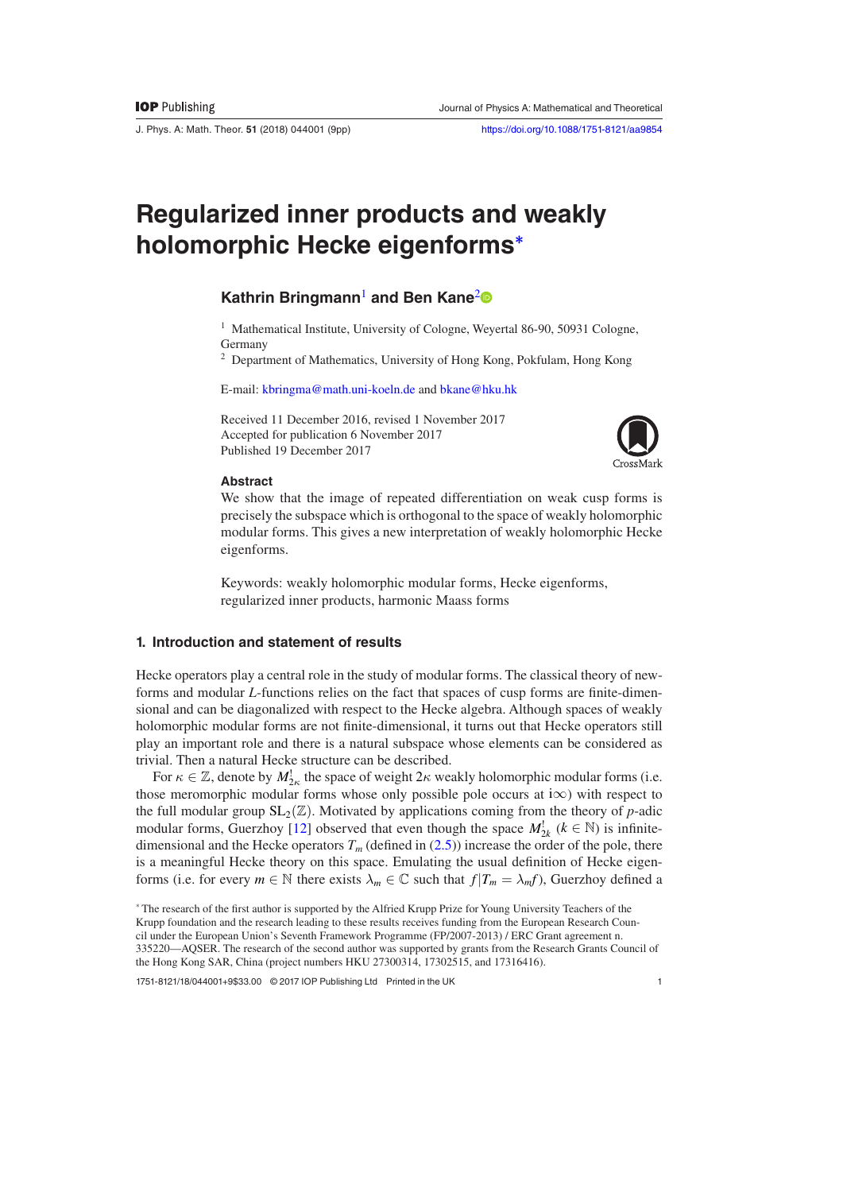J. Phys. A: Math. Theor. **51** (2018) 044001 ([9p](#page-8-1)p) <https://doi.org/10.1088/1751-8121/aa9854>

# **Regularized inner products and weakly holomorphic Hecke eigenforms[\\*](#page-0-0)**

# **Kathrin Bringmann**[1](#page-0-1) **and Ben Kane**[2](#page-0-2)

<span id="page-0-1"></span><sup>1</sup> Mathematical Institute, University of Cologne, Weyertal 86-90, 50931 Cologne, Germany

<span id="page-0-2"></span><sup>2</sup> Department of Mathematics, University of Hong Kong, Pokfulam, Hong Kong

E-mail: [kbringma@math.uni-koeln.de](mailto:kbringma@math.uni-koeln.de) and [bkane@hku.hk](mailto:bkane@hku.hk)

Received 11 December 2016, revised 1 November 2017 Accepted for publication 6 November 2017 Published 19 December 2017



#### **Abstract**

We show that the image of repeated differentiation on weak cusp forms is precisely the subspace which is orthogonal to the space of weakly holomorphic modular forms. This gives a new interpretation of weakly holomorphic Hecke eigenforms.

Keywords: weakly holomorphic modular forms, Hecke eigenforms, regularized inner products, harmonic Maass forms

# **1. Introduction and statement of results**

Hecke operators play a central role in the study of modular forms. The classical theory of newforms and modular *L*-functions relies on the fact that spaces of cusp forms are finite-dimensional and can be diagonalized with respect to the Hecke algebra. Although spaces of weakly holomorphic modular forms are not finite-dimensional, it turns out that Hecke operators still play an important role and there is a natural subspace whose elements can be considered as trivial. Then a natural Hecke structure can be described.

For  $\kappa \in \mathbb{Z}$ , denote by  $M_{2\kappa}^!$  the space of weight  $2\kappa$  weakly holomorphic modular forms (i.e. those meromorphic modular forms whose only possible pole occurs at i $\infty$ ) with respect to the full modular group  $SL_2(\mathbb{Z})$ . Motivated by applications coming from the theory of *p*-adic modular forms, Guerzhoy [[12\]](#page-8-0) observed that even though the space  $M_{2k}^{\perp}$  ( $k \in \mathbb{N}$ ) is infinitedimensional and the Hecke operators  $T_m$  (defined in ([2.5](#page-4-0))) increase the order of the pole, there is a meaningful Hecke theory on this space. Emulating the usual definition of Hecke eigenforms (i.e. for every  $m \in \mathbb{N}$  there exists  $\lambda_m \in \mathbb{C}$  such that  $f|T_m = \lambda_m f$ ), Guerzhoy defined a

1751-8121/18/044001[+9\\$](#page-8-1)33.00 © 2017 IOP Publishing Ltd Printed in the UK

<span id="page-0-0"></span><sup>\*</sup> The research of the first author is supported by the Alfried Krupp Prize for Young University Teachers of the Krupp foundation and the research leading to these results receives funding from the European Research Council under the European Union's Seventh Framework Programme (FP/2007-2013) / ERC Grant agreement n. 335220—AQSER. The research of the second author was supported by grants from the Research Grants Council of the Hong Kong SAR, China (project numbers HKU 27300314, 17302515, and 17316416).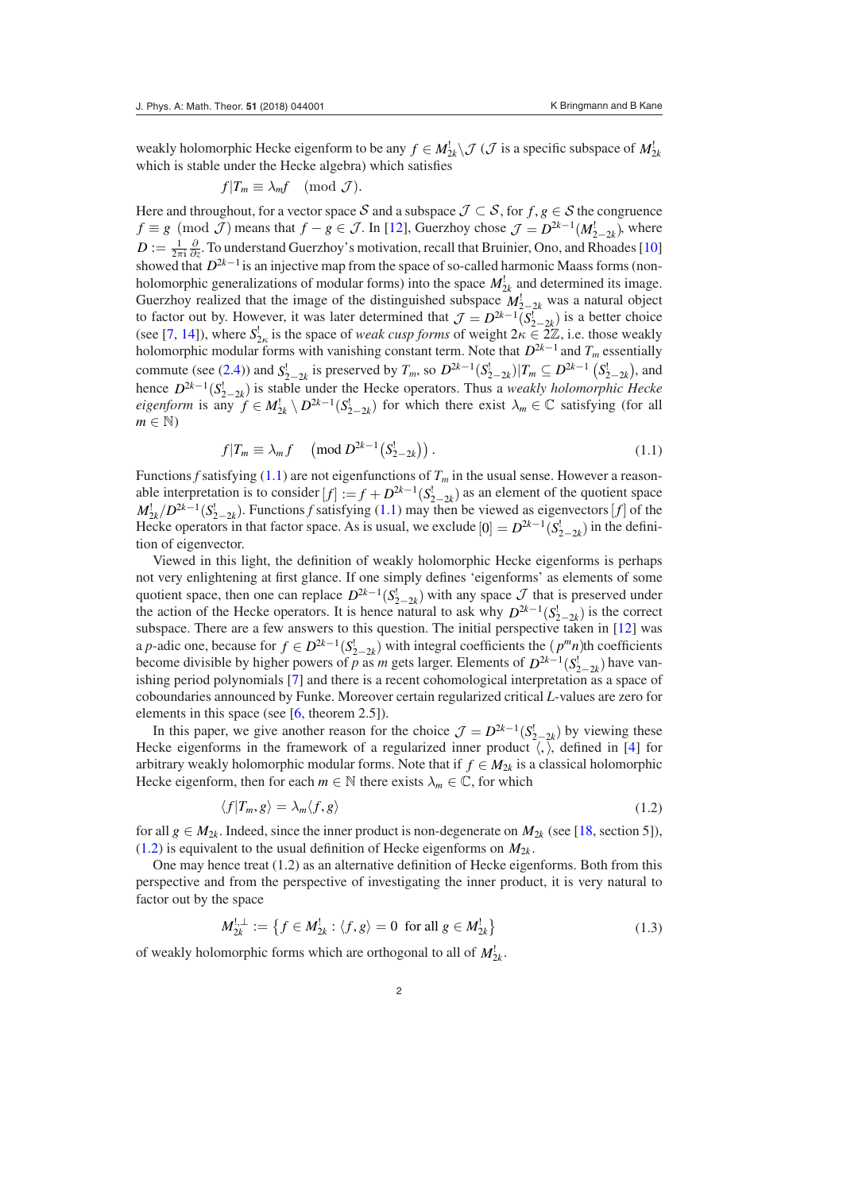weakly holomorphic Hecke eigenform to be any  $f \in M_{2k}^! \setminus \mathcal{J}(\mathcal{J}$  is a specific subspace of  $M_{2k}^!$ which is stable under the Hecke algebra) which satisfies

$$
f|T_m \equiv \lambda_m f \pmod{\mathcal{J}}.
$$

Here and throughout, for a vector space S and a subspace  $\mathcal{J} \subset \mathcal{S}$ , for  $f, g \in \mathcal{S}$  the congruence  $f \equiv g \pmod{\mathcal{J}}$  means that  $f - g \in \mathcal{J}$ . In [[12\]](#page-8-0), Guerzhoy chose  $\mathcal{J} = D^{2k-1}(M_{2-2k}^!)$ , where  $D := \frac{1}{2\pi i} \frac{\partial}{\partial z}$ . To understand Guerzhoy's motivation, recall that Bruinier, Ono, and Rhoades [[10\]](#page-8-2) showed that  $D^{2k-1}$  is an injective map from the space of so-called harmonic Maass forms (nonholomorphic generalizations of modular forms) into the space  $M_{2k}^!$  and determined its image. Guerzhoy realized that the image of the distinguished subspace  $M_{2-2k}^!$  was a natural object to factor out by. However, it was later determined that  $\mathcal{J} = D^{2k-1}(S_{2-2k}^1)$  is a better choice  $(2L-14L)$ , here  $S_1^1$  is the group of  $S_2^1$  is a better choice (see [[7,](#page-8-3) [14\]](#page-8-4)), where  $S_{2\kappa}^!$  is the space of *weak cusp forms* of weight  $2\kappa \in \overline{2\mathbb{Z}}$ , i.e. those weakly holomorphic modular forms with vanishing constant term. Note that  $D^{2k-1}$  and  $T_m$  essentially commute (see ([2.4](#page-4-1))) and  $S_{2-2k}^1$  is preserved by  $T_m$ , so  $D^{2k-1}(S_{2-2k}^1)|T_m \subseteq D^{2k-1}(S_{2-2k}^1)$ , and hence  $D^{2k-1}(S_{2-2k}^{\dagger})$  is stable under the Hecke operators. Thus a *weakly holomorphic Hecke eigenform* is any  $f \in M_{2k}^! \setminus D^{2k-1}(S_{2-2k}^!)$  for which there exist  $\lambda_m \in \mathbb{C}$  satisfying (for all  $m \in \mathbb{N}$ 

<span id="page-1-0"></span>
$$
f|T_m \equiv \lambda_m f \pmod{D^{2k-1}(S_{2-2k}^l)}.
$$
\n(1.1)

Functions *f* satisfying [\(1.1\)](#page-1-0) are not eigenfunctions of  $T_m$  in the usual sense. However a reasonable interpretation is to consider  $[f] := f + D^{2k-1}(S_{2-2k}^{\dagger})$  as an element of the quotient space  $M_{2k}^{\perp}/D^{2k-1}(S_{2-2k}^{\perp})$ . Functions *f* satisfying [\(1.1\)](#page-1-0) may then be viewed as eigenvectors [*f*] of the Hecke operators in that factor space. As is usual, we exclude  $[0] = D^{2k-1}(S^1_{2-2k})$  in the definition of eigenvector.

Viewed in this light, the definition of weakly holomorphic Hecke eigenforms is perhaps not very enlightening at first glance. If one simply defines 'eigenforms' as elements of some quotient space, then one can replace  $D^{2k-1}(S_{2-2k}^l)$  with any space  $\mathcal J$  that is preserved under the action of the Hecke operators. It is hence natural to ask why  $D^{2k-1}(S_{2-2k}^{\dagger})$  is the correct subspace. There are a few answers to this question. The initial perspective taken in [\[12](#page-8-0)] was a *p*-adic one, because for  $f \in D^{2k-1}(S^1_{2-2k})$  with integral coefficients the  $(p^mn)$ th coefficients become divisible by higher powers of *p* as *m* gets larger. Elements of  $D^{2k-1}(S_{2-2k}^!)$  have vanishing period polynomials [\[7](#page-8-3)] and there is a recent cohomological interpretation as a space of coboundaries announced by Funke. Moreover certain regularized critical *L*-values are zero for elements in this space (see  $[6,$  $[6,$  theorem 2.5]).

In this paper, we give another reason for the choice  $\mathcal{J} = D^{2k-1}(S^1_{2-2k})$  by viewing these Hecke eigenforms in the framework of a regularized inner product  $\langle$ ,  $\rangle$ , defined in [\[4](#page-7-1)] for arbitrary weakly holomorphic modular forms. Note that if  $f \in M_{2k}$  is a classical holomorphic Hecke eigenform, then for each  $m \in \mathbb{N}$  there exists  $\lambda_m \in \mathbb{C}$ , for which

<span id="page-1-1"></span>
$$
\langle f|T_m, g\rangle = \lambda_m \langle f, g\rangle \tag{1.2}
$$

for all  $g \in M_{2k}$ . Indeed, since the inner product is non-degenerate on  $M_{2k}$  (see [[18,](#page-8-5) section 5]),  $(1.2)$  is equivalent to the usual definition of Hecke eigenforms on  $M_{2k}$ .

One may hence treat (1.2) as an alternative definition of Hecke eigenforms. Both from this perspective and from the perspective of investigating the inner product, it is very natural to factor out by the space

<span id="page-1-2"></span>
$$
M_{2k}^{1,\perp} := \left\{ f \in M_{2k}^1 : \langle f, g \rangle = 0 \text{ for all } g \in M_{2k}^1 \right\}
$$
 (1.3)

of weakly holomorphic forms which are orthogonal to all of  $M_{2k}^!$ .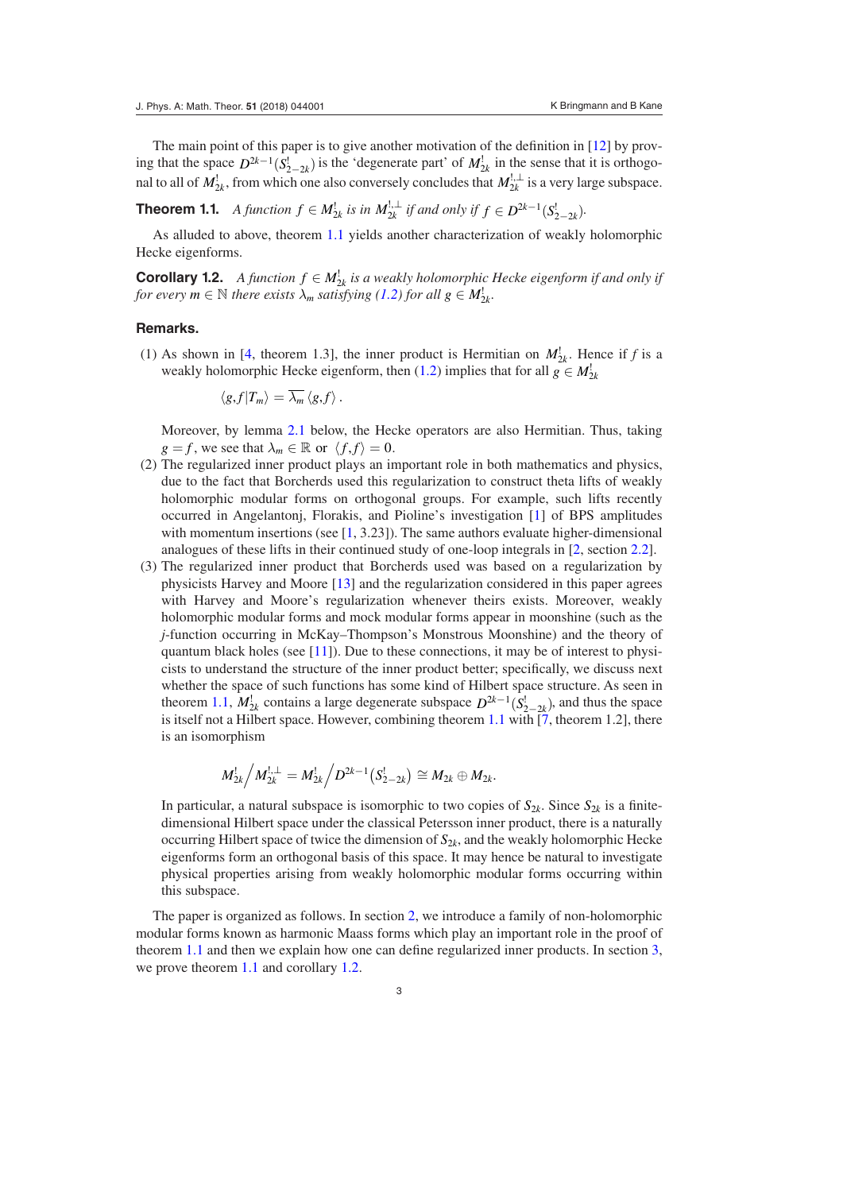The main point of this paper is to give another motivation of the definition in [\[12](#page-8-0)] by proving that the space  $D^{2k-1}(S_{2-2k}^l)$  is the 'degenerate part' of  $M_{2k}^l$  in the sense that it is orthogonal to all of  $M_{2k}^!$ , from which one also conversely concludes that  $M_{2k}^{!,\perp}$  is a very large subspace.

<span id="page-2-0"></span>**Theorem 1.1.** *A function*  $f \in M_{2k}^1$  *is in*  $M_{2k}^{1,\perp}$  *if and only if*  $f \in D^{2k-1}(S_{2-2k}^1)$ *.* 

As alluded to above, theorem [1.1](#page-2-0) yields another characterization of weakly holomorphic Hecke eigenforms.

**Corollary 1.2.** *A function*  $f \in M_{2k}^1$  *is a weakly holomorphic Hecke eigenform if and only if for every m*  $\in$  *N there exists*  $\lambda_m$  *satisfying* ([1.2](#page-1-1)) *for all*  $g \in M_{2k}^1$ *.* 

#### **Remarks.**

(1) As shown in [[4,](#page-7-1) theorem 1.3], the inner product is Hermitian on  $M_{2k}^{\dagger}$ . Hence if *f* is a weakly holomorphic Hecke eigenform, then [\(1.2\)](#page-1-1) implies that for all  $g \in M_{2k}^!$ 

<span id="page-2-1"></span>
$$
\langle g,f|T_m\rangle=\lambda_m\langle g,f\rangle.
$$

 Moreover, by lemma [2.1](#page-5-0) below, the Hecke operators are also Hermitian. Thus, taking  $g = f$ , we see that  $\lambda_m \in \mathbb{R}$  or  $\langle f, f \rangle = 0$ .

- (2) The regularized inner product plays an important role in both mathematics and physics, due to the fact that Borcherds used this regularization to construct theta lifts of weakly holomorphic modular forms on orthogonal groups. For example, such lifts recently occurred in Angelantonj, Florakis, and Pioline's investigation [\[1](#page-7-2)] of BPS amplitudes with momentum insertions (see  $[1, 3.23]$  $[1, 3.23]$  $[1, 3.23]$ ). The same authors evaluate higher-dimensional analogues of these lifts in their continued study of one-loop integrals in [[2,](#page-7-3) section [2.2](#page-4-2)].
- (3) The regularized inner product that Borcherds used was based on a regularization by physicists Harvey and Moore [[13\]](#page-8-6) and the regularization considered in this paper agrees with Harvey and Moore's regularization whenever theirs exists. Moreover, weakly holomorphic modular forms and mock modular forms appear in moonshine (such as the *j*-function occurring in McKay–Thompson's Monstrous Moonshine) and the theory of quantum black holes (see  $[11]$  $[11]$ ). Due to these connections, it may be of interest to physicists to understand the structure of the inner product better; specifically, we discuss next whether the space of such functions has some kind of Hilbert space structure. As seen in theorem [1.1,](#page-2-0)  $M_{2k}^1$  contains a large degenerate subspace  $D^{2k-1}(S_{2-2k}^1)$ , and thus the space is itself not a Hilbert space. However, combining theorem [1.1](#page-2-0) with  $\overline{[7]}$ , theorem 1.2], there is an isomorphism

$$
M_{2k}^! \Big/ M_{2k}^{!,\perp} = M_{2k}^! \Big/ D^{2k-1} \big( S_{2-2k}^! \big) \cong M_{2k} \oplus M_{2k}.
$$

In particular, a natural subspace is isomorphic to two copies of  $S_{2k}$ . Since  $S_{2k}$  is a finitedimensional Hilbert space under the classical Petersson inner product, there is a naturally occurring Hilbert space of twice the dimension of *S*2*<sup>k</sup>*, and the weakly holomorphic Hecke eigenforms form an orthogonal basis of this space. It may hence be natural to investigate physical properties arising from weakly holomorphic modular forms occurring within this subspace.

The paper is organized as follows. In section [2](#page-3-0), we introduce a family of non-holomorphic modular forms known as harmonic Maass forms which play an important role in the proof of theorem [1.1](#page-2-0) and then we explain how one can define regularized inner products. In section [3,](#page-6-0) we prove theorem [1.1](#page-2-0) and corollary [1.2](#page-2-1).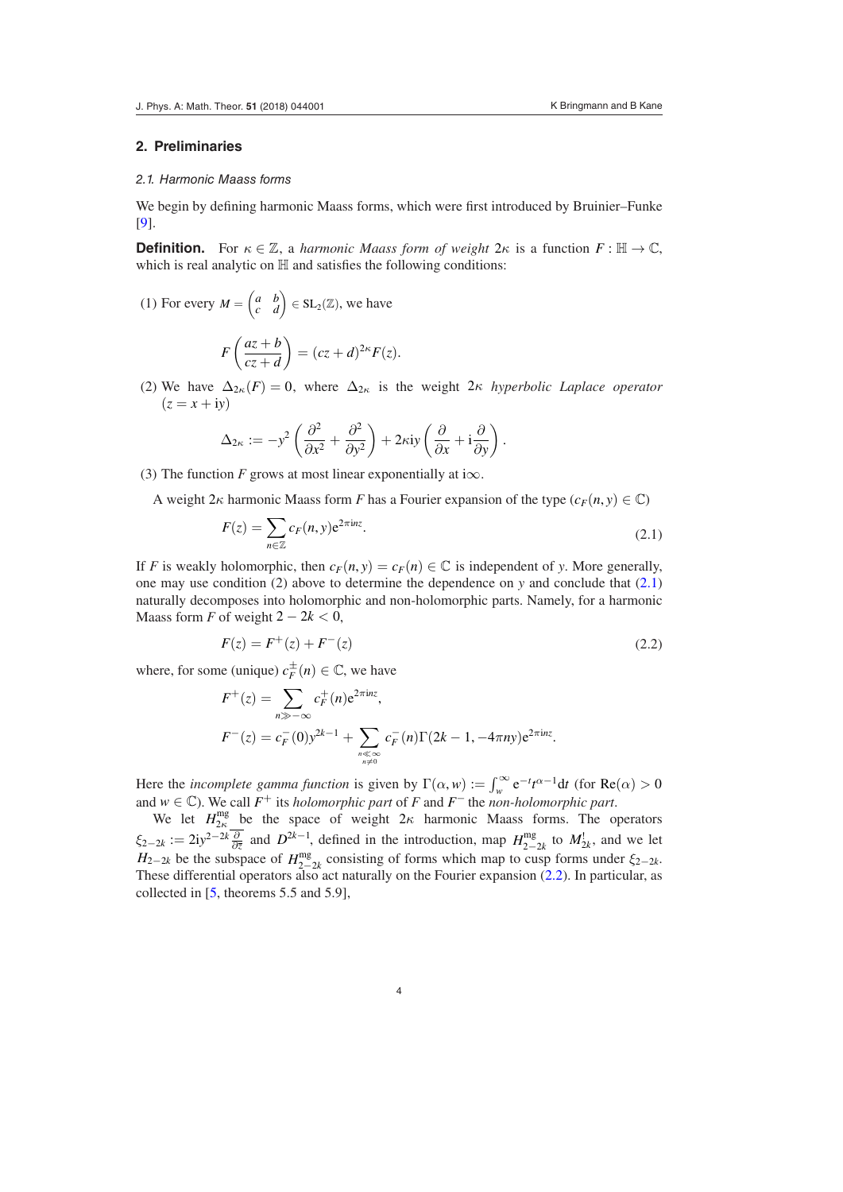#### <span id="page-3-0"></span>**2. Preliminaries**

#### *2.1. Harmonic Maass forms*

We begin by defining harmonic Maass forms, which were first introduced by Bruinier–Funke [\[9](#page-8-8)].

**Definition.** For  $\kappa \in \mathbb{Z}$ , a *harmonic Maass form of weight*  $2\kappa$  is a function  $F : \mathbb{H} \to \mathbb{C}$ , which is real analytic on  $H$  and satisfies the following conditions:

(1) For every  $M = \begin{pmatrix} a & b \\ c & d \end{pmatrix} \in SL_2(\mathbb{Z})$ , we have

$$
F\left(\frac{az+b}{cz+d}\right) = (cz+d)^{2\kappa}F(z).
$$

(2) We have  $\Delta_{2\kappa}(F) = 0$ , where  $\Delta_{2\kappa}$  is the weight 2*k hyperbolic Laplace operator*  $(z = x + iy)$ 

$$
\Delta_{2\kappa} := -y^2 \left( \frac{\partial^2}{\partial x^2} + \frac{\partial^2}{\partial y^2} \right) + 2\kappa \mathrm{i} y \left( \frac{\partial}{\partial x} + \mathrm{i} \frac{\partial}{\partial y} \right).
$$

(3) The function *F* grows at most linear exponentially at i $\infty$ .

A weight  $2\kappa$  harmonic Maass form *F* has a Fourier expansion of the type  $(c_F(n, y) \in \mathbb{C})$ 

<span id="page-3-1"></span>
$$
F(z) = \sum_{n \in \mathbb{Z}} c_F(n, y) e^{2\pi i n z}.
$$
\n(2.1)

If *F* is weakly holomorphic, then  $c_F(n, y) = c_F(n) \in \mathbb{C}$  is independent of *y*. More generally, one may use condition (2) above to determine the dependence on *y* and conclude that [\(2.1\)](#page-3-1) naturally decomposes into holomorphic and non-holomorphic parts. Namely, for a harmonic Maass form *F* of weight  $2 - 2k < 0$ ,

<span id="page-3-2"></span>
$$
F(z) = F^{+}(z) + F^{-}(z)
$$
\n(2.2)

where, for some (unique)  $c_F^{\pm}(n) \in \mathbb{C}$ , we have

$$
F^+(z) = \sum_{n \gg -\infty} c_F^+(n) e^{2\pi i n z},
$$
  

$$
F^-(z) = c_F^-(0) y^{2k-1} + \sum_{\substack{n \ll \infty \\ n \neq 0}} c_F^-(n) \Gamma(2k-1, -4\pi n y) e^{2\pi i n z}.
$$

Here the *incomplete gamma function* is given by  $\Gamma(\alpha, w) := \int_{w}^{\infty} e^{-t} t^{\alpha-1} dt$  (for  $Re(\alpha) > 0$ and  $w \in \mathbb{C}$ ). We call  $F^+$  its *holomorphic part* of  $F$  and  $F^-$  the *non-holomorphic part*.

We let  $H_{2\kappa}^{\text{mg}}$  be the space of weight  $2\kappa$  harmonic Maass forms. The operators  $\xi_{2-2k} := 2iy^{2-2k} \frac{\partial}{\partial \overline{z}}$  and  $D^{2k-1}$ , defined in the introduction, map  $H_{2-2k}^{\text{mg}}$  to  $M_{2k}^{\text{l}}$ , and we let  $H_{2-2k}$  be the subspace of  $H_{2-2k}^{\text{mg}}$  consisting of forms which map to cusp forms under  $\xi_{2-2k}$ .  $22-\lambda$  is the subspace of  $H_{2-2k}$  consisting of forms which hap to easp forms under  $\zeta_{2-k}$ .<br>These differential operators also act naturally on the Fourier expansion [\(2.2\)](#page-3-2). In particular, as collected in [\[5](#page-7-4), theorems 5.5 and 5.9],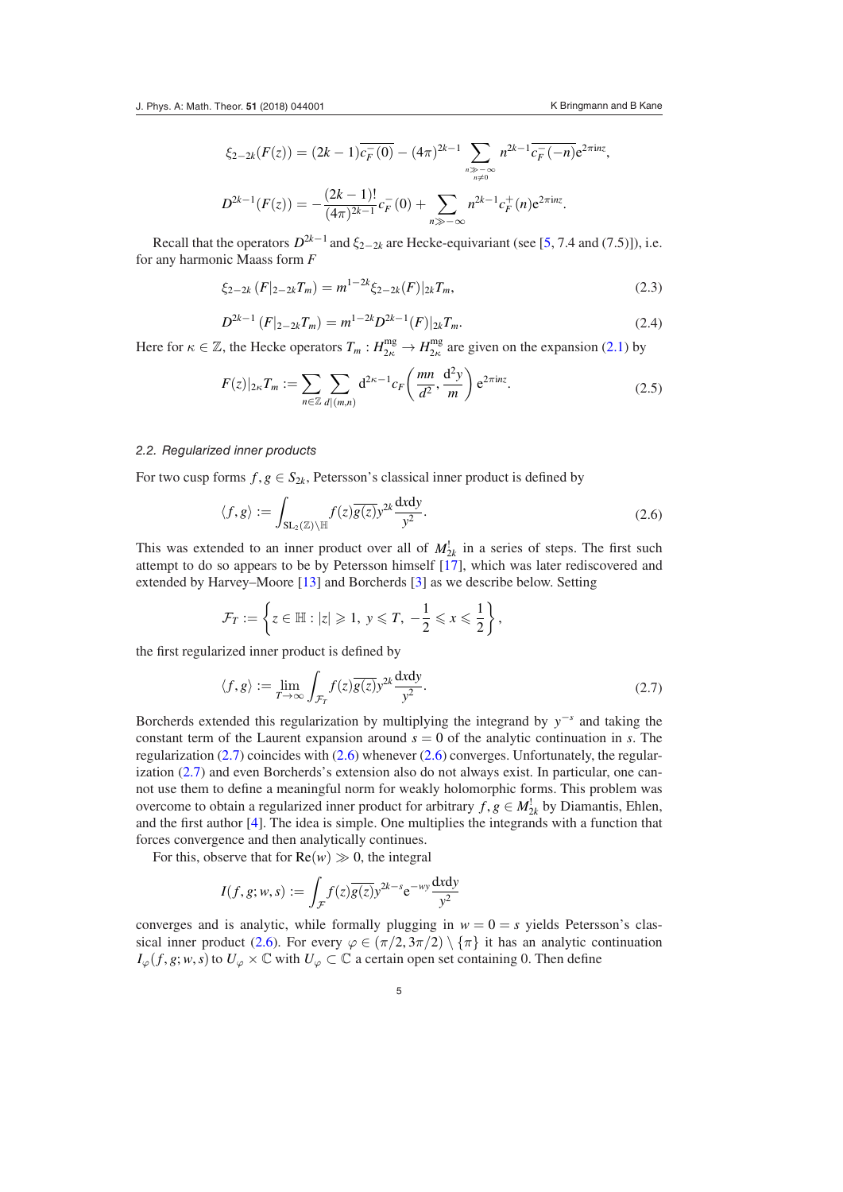$$
\xi_{2-2k}(F(z)) = (2k-1)\overline{c_F^-(0)} - (4\pi)^{2k-1} \sum_{\substack{n \gg -\infty \\ n \neq 0}} n^{2k-1} \overline{c_F^-(n)} e^{2\pi i n z},
$$
  

$$
D^{2k-1}(F(z)) = -\frac{(2k-1)!}{(4\pi)^{2k-1}} c_F^-(0) + \sum_{\substack{n \gg -\infty \\ n \gg -\infty}} n^{2k-1} c_F^+(n) e^{2\pi i n z}.
$$

Recall that the operators  $D^{2k-1}$  and  $\xi_{2-2k}$  are Hecke-equivariant (see [\[5](#page-7-4), 7.4 and (7.5)]), i.e. for any harmonic Maass form *F*

<span id="page-4-5"></span>
$$
\xi_{2-2k}(F|_{2-2k}T_m) = m^{1-2k}\xi_{2-2k}(F)|_{2k}T_m,\tag{2.3}
$$

<span id="page-4-1"></span>
$$
D^{2k-1}(F|_{2-2k}T_m) = m^{1-2k}D^{2k-1}(F)|_{2k}T_m.
$$
\n(2.4)

Here for  $\kappa \in \mathbb{Z}$ , the Hecke operators  $T_m : H_{2\kappa}^{\text{mg}} \to H_{2\kappa}^{\text{mg}}$  are given on the expansion [\(2.1\)](#page-3-1) by

<span id="page-4-0"></span>
$$
F(z)|_{2\kappa}T_m := \sum_{n \in \mathbb{Z}} \sum_{d|(m,n)} d^{2\kappa - 1} c_F \left(\frac{mn}{d^2}, \frac{d^2y}{m}\right) e^{2\pi i n z}.
$$
 (2.5)

#### <span id="page-4-2"></span>*2.2. Regularized inner products*

For two cusp forms  $f, g \in S_{2k}$ , Petersson's classical inner product is defined by

<span id="page-4-4"></span>
$$
\langle f, g \rangle := \int_{\mathrm{SL}_2(\mathbb{Z}) \backslash \mathbb{H}} f(z) \overline{g(z)} y^{2k} \frac{\mathrm{d}x \mathrm{d}y}{y^2} . \tag{2.6}
$$

This was extended to an inner product over all of  $M_{2k}^!$  in a series of steps. The first such attempt to do so appears to be by Petersson himself [[17\]](#page-8-9), which was later rediscovered and extended by Harvey–Moore [[13\]](#page-8-6) and Borcherds [\[3](#page-7-5)] as we describe below. Setting

$$
\mathcal{F}_T := \left\{ z \in \mathbb{H} : |z| \geqslant 1, \ y \leqslant T, \ -\frac{1}{2} \leqslant x \leqslant \frac{1}{2} \right\},\
$$

the first regularized inner product is defined by

<span id="page-4-3"></span>
$$
\langle f, g \rangle := \lim_{T \to \infty} \int_{\mathcal{F}_T} f(z) \overline{g(z)} y^{2k} \frac{\mathrm{d}x \mathrm{d}y}{y^2} . \tag{2.7}
$$

Borcherds extended this regularization by multiplying the integrand by *y*−*<sup>s</sup>* and taking the constant term of the Laurent expansion around  $s = 0$  of the analytic continuation in *s*. The regularization  $(2.7)$  $(2.7)$  $(2.7)$  coincides with  $(2.6)$  $(2.6)$  $(2.6)$  whenever  $(2.6)$  converges. Unfortunately, the regularization [\(2.7\)](#page-4-3) and even Borcherds's extension also do not always exist. In particular, one cannot use them to define a meaningful norm for weakly holomorphic forms. This problem was overcome to obtain a regularized inner product for arbitrary  $f, g \in M_{2k}^{\perp}$  by Diamantis, Ehlen, and the first author [\[4](#page-7-1)]. The idea is simple. One multiplies the integrands with a function that forces convergence and then analytically continues.

For this, observe that for  $Re(w) \gg 0$ , the integral

$$
I(f, g; w, s) := \int_{\mathcal{F}} f(z) \overline{g(z)} y^{2k - s} e^{-wy} \frac{dxdy}{y^2}
$$

converges and is analytic, while formally plugging in  $w = 0 = s$  yields Petersson's clas-sical inner product [\(2.6\)](#page-4-4). For every  $\varphi \in (\pi/2, 3\pi/2) \setminus {\pi}$  it has an analytic continuation  $I_{\varphi}(f, g; w, s)$  to  $U_{\varphi} \times \mathbb{C}$  with  $U_{\varphi} \subset \mathbb{C}$  a certain open set containing 0. Then define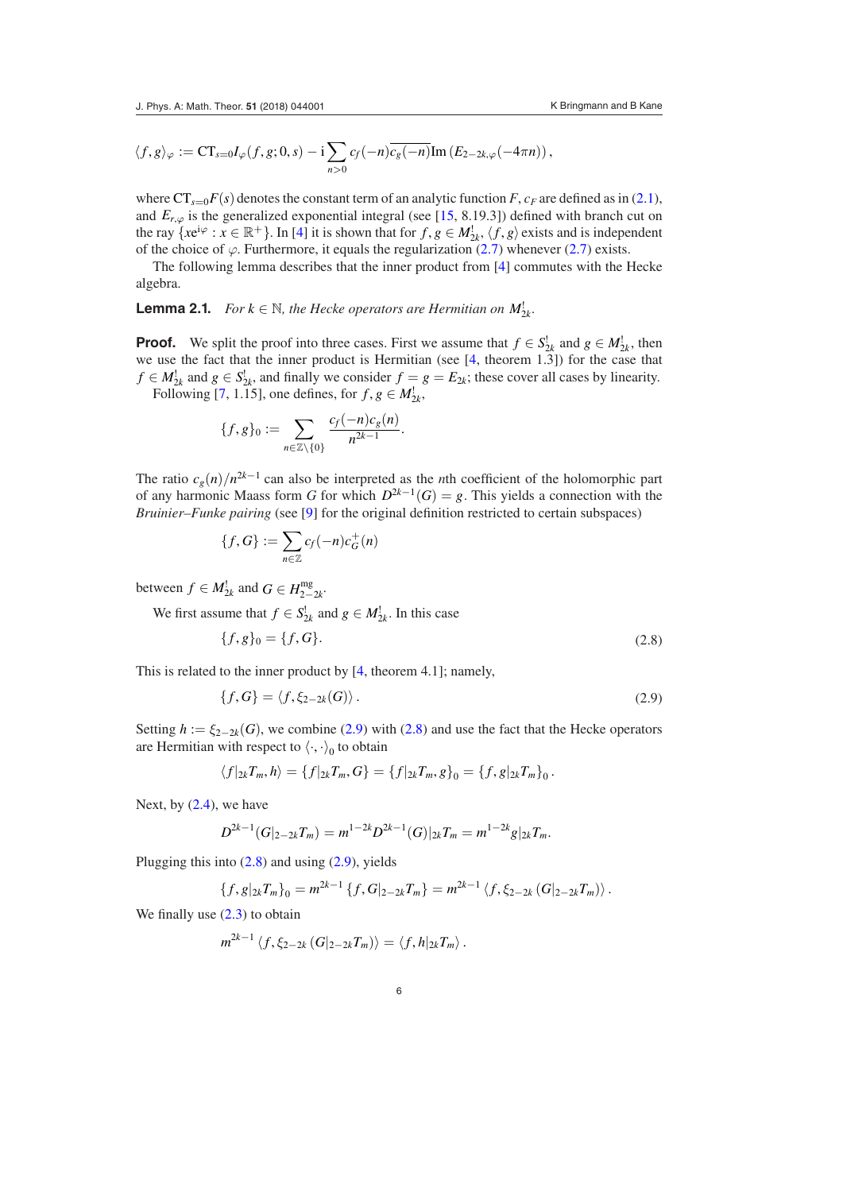$$
\langle f, g \rangle_{\varphi} := CT_{s=0} I_{\varphi}(f, g; 0, s) - i \sum_{n>0} c_f(-n) \overline{c_g(-n)} \text{Im} (E_{2-2k,\varphi}(-4\pi n)),
$$

where  $CT_{s=0}F(s)$  denotes the constant term of an analytic function *F*,  $c_F$  are defined as in ([2.1](#page-3-1)), and  $E_{r,\varphi}$  is the generalized exponential integral (see [[15,](#page-8-10) 8.19.3]) defined with branch cut on the ray  $\{xe^{i\varphi}: x \in \mathbb{R}^+\}$ . In [\[4](#page-7-1)] it is shown that for  $f, g \in M_{2k}^{\perp}, \langle f, g \rangle$  exists and is independent of the choice of  $\varphi$ . Furthermore, it equals the regularization ([2.7](#page-4-3)) whenever [\(2.7\)](#page-4-3) exists.

The following lemma describes that the inner product from [\[4](#page-7-1)] commutes with the Hecke algebra.

**Lemma 2.1.** *For*  $k \in \mathbb{N}$ *, the Hecke operators are Hermitian on*  $M_{2k}^{\perp}$ *.* 

**Proof.** We split the proof into three cases. First we assume that  $f \in S_{2k}^1$  and  $g \in M_{2k}^1$ , then we use the fact that the inner product is Hermitian (see [[4,](#page-7-1) theorem 1.3]) for the case that  $f \in M_{2k}^!$  and  $g \in S_{2k}^!$ , and finally we consider  $f = g = E_{2k}$ ; these cover all cases by linearity. Following [[7,](#page-8-3) 1.15], one defines, for  $f, g \in M_{2k}^!$ ,

<span id="page-5-0"></span>
$$
\{f,g\}_0:=\sum_{n\in\mathbb{Z}\setminus\{0\}}\frac{c_f(-n)c_g(n)}{n^{2k-1}}.
$$

The ratio  $c_g(n)/n^{2k-1}$  can also be interpreted as the *n*th coefficient of the holomorphic part of any harmonic Maass form *G* for which  $D^{2k-1}(G) = g$ . This yields a connection with the *Bruinier–Funke pairing* (see [\[9](#page-8-8)] for the original definition restricted to certain subspaces)

$$
\{f, G\} := \sum_{n \in \mathbb{Z}} c_f(-n) c_G^+(n)
$$

between  $f \in M_{2k}^!$  and  $G \in H_{2-2k}^{\text{mg}}$ .

We first assume that  $f \in S^!_{2k}$  and  $g \in M^!_{2k}$ . In this case

<span id="page-5-2"></span>
$$
\{f, g\}_0 = \{f, G\}.\tag{2.8}
$$

This is related to the inner product by [\[4](#page-7-1), theorem 4.1]; namely,

<span id="page-5-1"></span>
$$
\{f, G\} = \langle f, \xi_{2-2k}(G) \rangle. \tag{2.9}
$$

Setting  $h := \xi_{2-2k}(G)$ , we combine ([2.9](#page-5-1)) with [\(2.8\)](#page-5-2) and use the fact that the Hecke operators are Hermitian with respect to  $\langle \cdot, \cdot \rangle_0$  to obtain

$$
\langle f|_{2k}T_m,h\rangle=\{f|_{2k}T_m,G\}=\{f|_{2k}T_m,g\}_0=\{f,g|_{2k}T_m\}_0.
$$

Next, by  $(2.4)$ , we have

$$
D^{2k-1}(G|_{2-2k}T_m) = m^{1-2k}D^{2k-1}(G)|_{2k}T_m = m^{1-2k}g|_{2k}T_m.
$$

Plugging this into  $(2.8)$  $(2.8)$  $(2.8)$  and using  $(2.9)$  $(2.9)$  $(2.9)$ , yields

$$
\{f,g|_{2k}T_m\}_0=m^{2k-1}\{f,G|_{2-2k}T_m\}=m^{2k-1}\langle f,\xi_{2-2k}(G|_{2-2k}T_m)\rangle.
$$

We finally use  $(2.3)$  $(2.3)$  $(2.3)$  to obtain

$$
m^{2k-1}\left\langle f,\xi_{2-2k}\left(G|_{2-2k}T_m\right)\right\rangle=\left\langle f,h|_{2k}T_m\right\rangle.
$$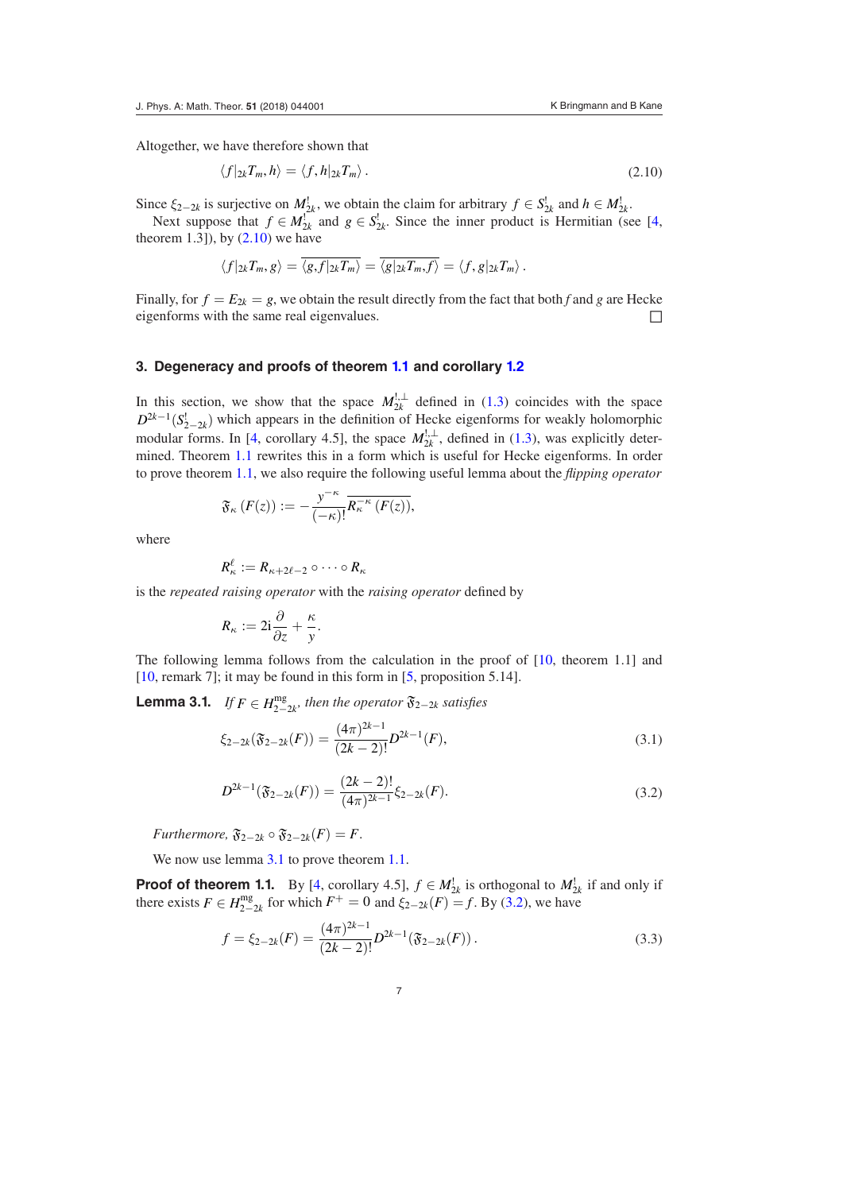Altogether, we have therefore shown that

<span id="page-6-1"></span>
$$
\langle f|_{2k}T_m, h\rangle = \langle f, h|_{2k}T_m\rangle. \tag{2.10}
$$

Since  $\xi_{2-2k}$  is surjective on  $M_{2k}^{\dagger}$ , we obtain the claim for arbitrary  $f \in S_{2k}^{\dagger}$  and  $h \in M_{2k}^{\dagger}$ .

Next suppose that  $f \in M_{2k}^1$  and  $g \in S_{2k}^1$ . Since the inner product is Hermitian (see [\[4,](#page-7-1) theorem  $1.3$ ]), by  $(2.10)$  we have

$$
\langle f|_{2k}T_m, g\rangle = \overline{\langle g, f|_{2k}T_m\rangle} = \overline{\langle g|_{2k}T_m, f\rangle} = \langle f, g|_{2k}T_m\rangle.
$$

Finally, for  $f = E_{2k} = g$ , we obtain the result directly from the fact that both *f* and *g* are Hecke eigenforms with the same real eigenvalues.  $□$ 

## <span id="page-6-0"></span>**3. Degeneracy and proofs of theorem [1.1](#page-2-0) and corollary [1.2](#page-2-1)**

In this section, we show that the space  $M_{2k}^{1,\perp}$  defined in ([1.3\)](#page-1-2) coincides with the space  $D^{2k-1}(S_{2-2k}^{\dagger})$  which appears in the definition of Hecke eigenforms for weakly holomorphic modular forms. In [[4,](#page-7-1) corollary 4.5], the space  $M_{2k}^{1, \perp}$ , defined in [\(1.3\)](#page-1-2), was explicitly determined. Theorem [1.1](#page-2-0) rewrites this in a form which is useful for Hecke eigenforms. In order to prove theorem [1.1](#page-2-0), we also require the following useful lemma about the *flipping operator*

$$
\mathfrak{F}_{\kappa}\left(F(z)\right) := -\frac{y^{-\kappa}}{(-\kappa)!} \overline{R_{\kappa}^{-\kappa}\left(F(z)\right)},
$$

where

$$
R_{\kappa}^{\ell}:=R_{\kappa+2\ell-2}\circ\cdots\circ R_{\kappa}
$$

is the *repeated raising operator* with the *raising operator* defined by

$$
R_{\kappa}:=2i\frac{\partial}{\partial z}+\frac{\kappa}{y}.
$$

The following lemma follows from the calculation in the proof of [\[10](#page-8-2), theorem 1.1] and [\[10](#page-8-2), remark 7]; it may be found in this form in [\[5](#page-7-4), proposition 5.14].

**Lemma 3.1.** *If*  $F \in H_{2-2k}^{\text{mg}}$ , then the operator  $\mathfrak{F}_{2-2k}$  satisfies

<span id="page-6-4"></span><span id="page-6-2"></span>
$$
\xi_{2-2k}(\mathfrak{F}_{2-2k}(F)) = \frac{(4\pi)^{2k-1}}{(2k-2)!}D^{2k-1}(F),\tag{3.1}
$$

<span id="page-6-3"></span>
$$
D^{2k-1}(\mathfrak{F}_{2-2k}(F)) = \frac{(2k-2)!}{(4\pi)^{2k-1}} \xi_{2-2k}(F). \tag{3.2}
$$

*Furthermore,*  $\mathfrak{F}_{2-2k} \circ \mathfrak{F}_{2-2k}(F) = F$ .

We now use lemma [3.1](#page-6-2) to prove theorem [1.1.](#page-2-0)

**Proof of theorem 1.1.** By [[4,](#page-7-1) corollary 4.5],  $f \in M_{2k}^!$  is orthogonal to  $M_{2k}^!$  if and only if there exists  $F \in H_{2-2k}^{\text{mg}}$  for which  $F^+ = 0$  and  $\xi_{2-2k}(F) = f$ . By [\(3.2\)](#page-6-3), we have

<span id="page-6-5"></span>
$$
f = \xi_{2-2k}(F) = \frac{(4\pi)^{2k-1}}{(2k-2)!} D^{2k-1}(\mathfrak{F}_{2-2k}(F)).
$$
\n(3.3)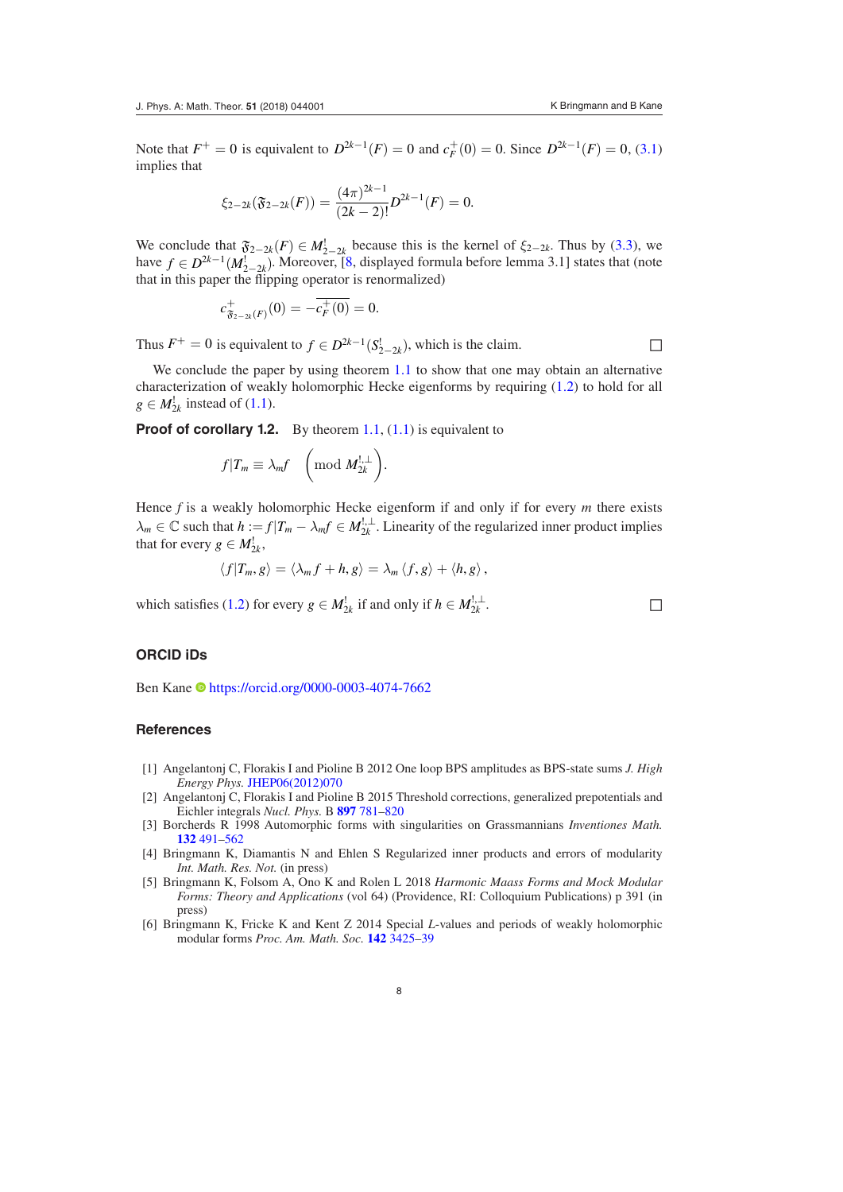Note that  $F^+ = 0$  is equivalent to  $D^{2k-1}(F) = 0$  and  $c_F^+(0) = 0$ . Since  $D^{2k-1}(F) = 0$ , [\(3.1\)](#page-6-4) implies that

$$
\xi_{2-2k}(\mathfrak{F}_{2-2k}(F)) = \frac{(4\pi)^{2k-1}}{(2k-2)!}D^{2k-1}(F) = 0.
$$

We conclude that  $\mathfrak{F}_{2-2k}(F) \in M_{2-2k}^{\perp}$  because this is the kernel of  $\xi_{2-2k}$ . Thus by ([3.3](#page-6-5)), we have  $f \in D^{2k-1}(M_{2-2k}^!)$ . Moreover, [\[8](#page-8-11), displayed formula before lemma 3.1] states that (note that in this paper the flipping operator is renormalized)

$$
c_{\mathfrak{F}_{2-2k}(F)}^+(0) = -c_F^+(0) = 0.
$$

Thus  $F^+ = 0$  is equivalent to  $f \in D^{2k-1}(S^!_{2-2k})$ , which is the claim.

We conclude the paper by using theorem [1.1](#page-2-0) to show that one may obtain an alternative characterization of weakly holomorphic Hecke eigenforms by requiring ([1.2](#page-1-1)) to hold for all  $g \in M_{2k}^!$  instead of [\(1.1\)](#page-1-0).

**Proof of corollary 1.2.** By theorem [1.1,](#page-2-0) ([1.1](#page-1-0)) is equivalent to

$$
f|T_m \equiv \lambda_m f \quad \left(\text{mod } M_{2k}^{!,\perp}\right).
$$

Hence *f* is a weakly holomorphic Hecke eigenform if and only if for every *m* there exists  $\lambda_m \in \mathbb{C}$  such that  $h := f|T_m - \lambda_m f \in M_{2k}^{\cdot,\perp}$ . Linearity of the regularized inner product implies that for every  $g \in M_{2k}^!$ ,

$$
\langle f|T_m,g\rangle=\langle \lambda_m f+h,g\rangle=\lambda_m\langle f,g\rangle+\langle h,g\rangle,
$$

which satisfies [\(1.2\)](#page-1-1) for every *g*  $\in M_{2k}^!$  if and only if  $h \in M_{2k}^{!,\perp}$  $2k$  .

## **ORCID iDs**

Ben Kane<https://orcid.org/0000-0003-4074-7662>

#### **References**

- <span id="page-7-2"></span>[1] Angelantonj C, Florakis I and Pioline B 2012 One loop BPS amplitudes as BPS-state sums *J. High Energy Phys.* [JHEP06\(2012\)070](https://doi.org/10.1007/JHEP06(2012)070)
- <span id="page-7-3"></span>[2] Angelantonj C, Florakis I and Pioline B 2015 Threshold corrections, generalized prepotentials and Eichler integrals *Nucl. Phys.* B **[897](https://doi.org/10.1016/j.nuclphysb.2015.06.009)** [781](https://doi.org/10.1016/j.nuclphysb.2015.06.009)–[820](https://doi.org/10.1016/j.nuclphysb.2015.06.009)
- <span id="page-7-5"></span>[3] Borcherds R 1998 Automorphic forms with singularities on Grassmannians *Inventiones Math.* **[132](https://doi.org/10.1007/s002220050232)** [491](https://doi.org/10.1007/s002220050232)–[562](https://doi.org/10.1007/s002220050232)
- <span id="page-7-1"></span>[4] Bringmann K, Diamantis N and Ehlen S Regularized inner products and errors of modularity *Int. Math. Res. Not.* (in press)
- <span id="page-7-4"></span>[5] Bringmann K, Folsom A, Ono K and Rolen L 2018 *Harmonic Maass Forms and Mock Modular Forms: Theory and Applications* (vol 64) (Providence, RI: Colloquium Publications) p 391 (in press)
- <span id="page-7-0"></span>[6] Bringmann K, Fricke K and Kent Z 2014 Special *L*-values and periods of weakly holomorphic modular forms *Proc. Am. Math. Soc.* **[142](https://doi.org/10.1090/S0002-9939-2014-12092-2)** [3425](https://doi.org/10.1090/S0002-9939-2014-12092-2)–[39](https://doi.org/10.1090/S0002-9939-2014-12092-2)